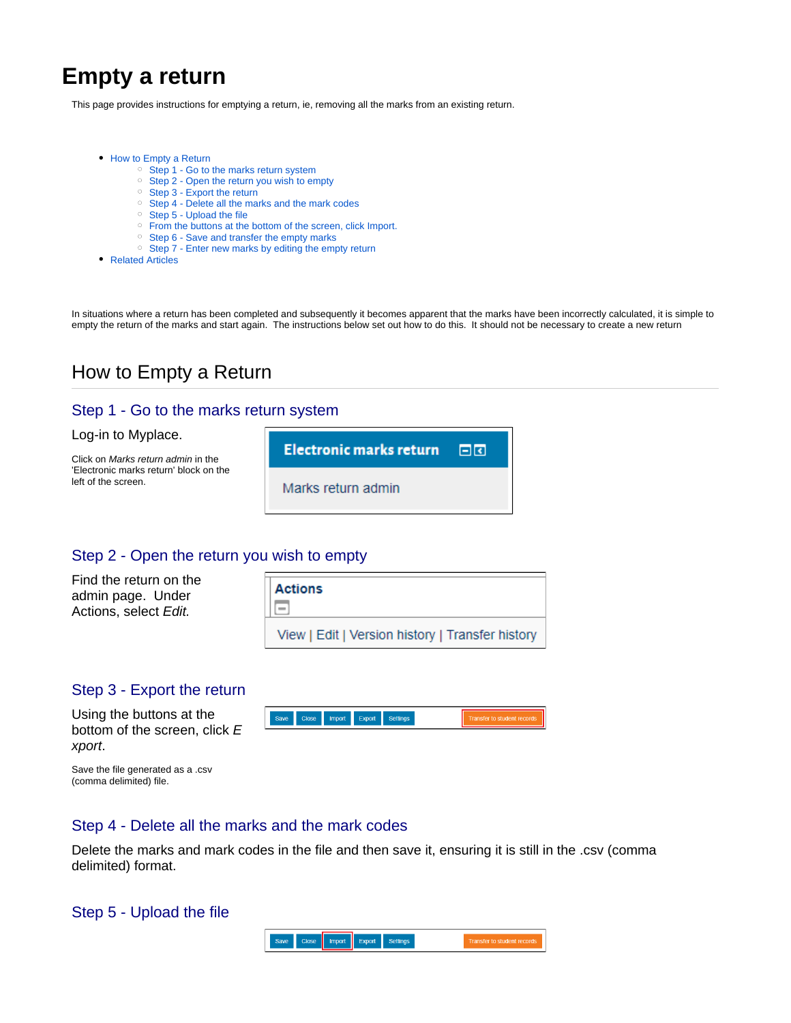# **Empty a return**

This page provides instructions for emptying a return, ie, removing all the marks from an existing return.

- [How to Empty a Return](#page-0-0)
	- <sup>o</sup> [Step 1 Go to the marks return system](#page-0-1)
	- <sup>o</sup> [Step 2 Open the return you wish to empty](#page-0-2)
	- <sup>o</sup> [Step 3 Export the return](#page-0-3)
	- <sup>o</sup> [Step 4 Delete all the marks and the mark codes](#page-0-4)
	- <sup>o</sup> [Step 5 Upload the file](#page-0-5)
	- [From the buttons at the bottom of the screen, click Import.](#page-1-0)
	- <sup>o</sup> [Step 6 Save and transfer the empty marks](#page-1-1)
	- <sup>o</sup> [Step 7 Enter new marks by editing the empty return](#page-1-2)
- [Related Articles](#page-1-3)

In situations where a return has been completed and subsequently it becomes apparent that the marks have been incorrectly calculated, it is simple to empty the return of the marks and start again. The instructions below set out how to do this. It should not be necessary to create a new return

## <span id="page-0-0"></span>How to Empty a Return

#### <span id="page-0-1"></span>Step 1 - Go to the marks return system

#### Log-in to Myplace.

Click on Marks return admin in the 'Electronic marks return' block on the left of the screen.



#### <span id="page-0-2"></span>Step 2 - Open the return you wish to empty

Find the return on the admin page. Under Actions, select Edit.

| <b>Actions</b><br>IΞ                             |
|--------------------------------------------------|
| View   Edit   Version history   Transfer history |

#### <span id="page-0-3"></span>Step 3 - Export the return

Using the buttons at the bottom of the screen, click E xport.

|  |  | Save | Close |  | Import Export | Settings |  | ' το student records |
|--|--|------|-------|--|---------------|----------|--|----------------------|
|--|--|------|-------|--|---------------|----------|--|----------------------|

Save the file generated as a .csv (comma delimited) file.

#### <span id="page-0-4"></span>Step 4 - Delete all the marks and the mark codes

Delete the marks and mark codes in the file and then save it, ensuring it is still in the .csv (comma delimited) format.

#### <span id="page-0-5"></span>Step 5 - Upload the file